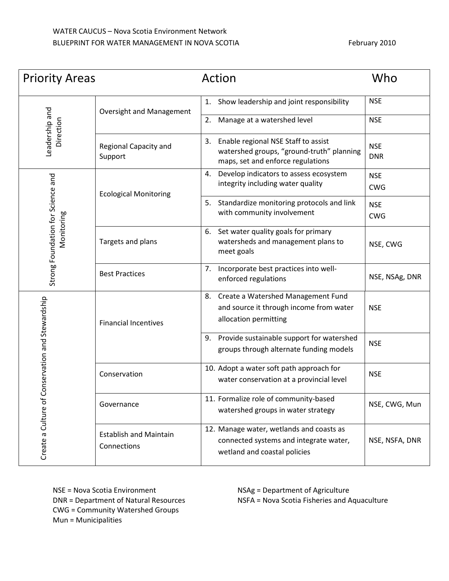| <b>Priority Areas</b>                               |                                              | Action                                                                                                                      | Who                      |
|-----------------------------------------------------|----------------------------------------------|-----------------------------------------------------------------------------------------------------------------------------|--------------------------|
| Leadership and<br>Direction                         | <b>Oversight and Management</b>              | Show leadership and joint responsibility<br>1.                                                                              | <b>NSE</b>               |
|                                                     |                                              | Manage at a watershed level<br>2.                                                                                           | <b>NSE</b>               |
|                                                     | Regional Capacity and<br>Support             | Enable regional NSE Staff to assist<br>3.<br>watershed groups, "ground-truth" planning<br>maps, set and enforce regulations | <b>NSE</b><br><b>DNR</b> |
| Strong Foundation for Science and<br>Monitoring     | <b>Ecological Monitoring</b>                 | Develop indicators to assess ecosystem<br>4.<br>integrity including water quality                                           | <b>NSE</b><br><b>CWG</b> |
|                                                     |                                              | Standardize monitoring protocols and link<br>5.<br>with community involvement                                               | <b>NSE</b><br><b>CWG</b> |
|                                                     | Targets and plans                            | Set water quality goals for primary<br>6.<br>watersheds and management plans to<br>meet goals                               | NSE, CWG                 |
|                                                     | <b>Best Practices</b>                        | Incorporate best practices into well-<br>7.<br>enforced regulations                                                         | NSE, NSAg, DNR           |
| Conservation and Stewardship<br>Create a Culture of | <b>Financial Incentives</b>                  | 8. Create a Watershed Management Fund<br>and source it through income from water<br>allocation permitting                   | <b>NSE</b>               |
|                                                     |                                              | Provide sustainable support for watershed<br>9.<br>groups through alternate funding models                                  | <b>NSE</b>               |
|                                                     | Conservation                                 | 10. Adopt a water soft path approach for<br>water conservation at a provincial level                                        | <b>NSE</b>               |
|                                                     | Governance                                   | 11. Formalize role of community-based<br>watershed groups in water strategy                                                 | NSE, CWG, Mun            |
|                                                     | <b>Establish and Maintain</b><br>Connections | 12. Manage water, wetlands and coasts as<br>connected systems and integrate water,<br>wetland and coastal policies          | NSE, NSFA, DNR           |

NSE = Nova Scotia Environment DNR = Department of Natural Resources CWG = Community Watershed Groups Mun = Municipalities

NSAg = Department of Agriculture NSFA = Nova Scotia Fisheries and Aquaculture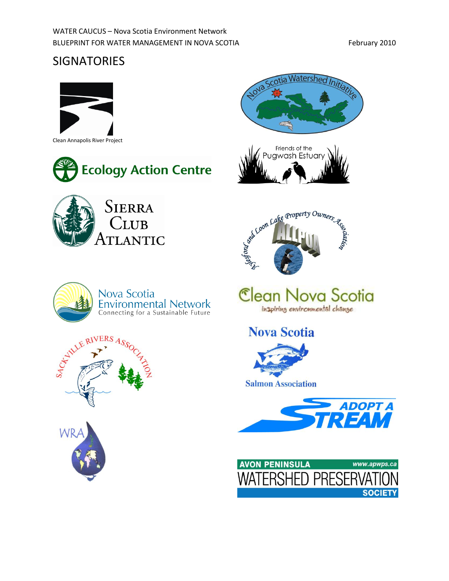## **SIGNATORIES**





Nova Scotia









Clean Nova Scotia inspiring environmental change

**Nova Scotia** 











**Environmental Network**<br>Connecting for a Sustainable Future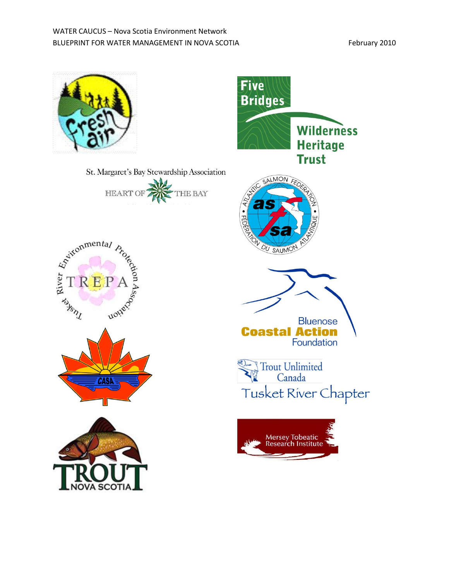